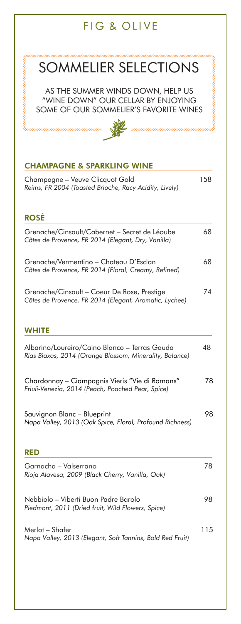# SOMMELIER SELECTIONS

AS THE SUMMER WINDS DOWN, HELP US "WINE DOWN" OUR CELLAR BY ENJOYING SOME OF OUR SOMMELIER'S FAVORITE WINES 

## **CHAMPAGNE & SPARKLING WINE**

| Champagne - Veuve Clicquot Gold<br>Reims, FR 2004 (Toasted Brioche, Racy Acidity, Lively)                | 158 |
|----------------------------------------------------------------------------------------------------------|-----|
| <b>ROSÉ</b>                                                                                              |     |
| Grenache/Cinsault/Cabernet - Secret de Léoube<br>Côtes de Provence, FR 2014 (Elegant, Dry, Vanilla)      | 68  |
| Grenache/Vermentino - Chateau D'Esclan<br>Côtes de Provence, FR 2014 (Floral, Creamy, Refined)           | 68  |
| Grenache/Cinsault - Coeur De Rose, Prestige<br>Côtes de Provence, FR 2014 (Elegant, Aromatic, Lychee)    | 74  |
| WHITE                                                                                                    |     |
| Albarino/Loureiro/Caino Blanco - Terras Gauda<br>Rias Biaxas, 2014 (Orange Blossom, Minerality, Balance) | 48  |
| Chardonnay - Ciampagnis Vieris "Vie di Romans"<br>Friuli-Venezia, 2014 (Peach, Poached Pear, Spice)      | 78  |
| Sauvignon Blanc - Blueprint<br>Napa Valley, 2013 (Oak Spice, Floral, Profound Richness)                  | 98  |
| RED                                                                                                      |     |
| Garnacha - Valserrano<br>Rioja Alavesa, 2009 (Black Cherry, Vanilla, Oak)                                | 78  |
| Nebbiolo - Viberti Buon Padre Barolo<br>Piedmont, 2011 (Dried fruit, Wild Flowers, Spice)                | 98  |
| Merlot – Shafer<br>Napa Valley, 2013 (Elegant, Soft Tannins, Bold Red Fruit)                             | 115 |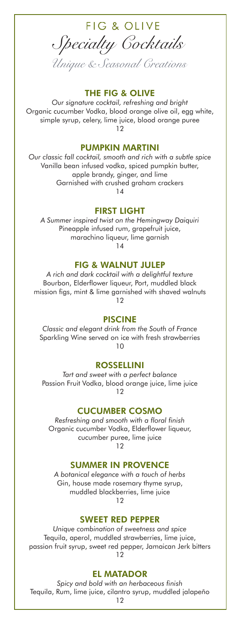FIG & OLIVE *Specialty Cocktails*

*Unique & Seasonal Creations*

#### **THE FIG & OLIVE**

*Our signature cocktail, refreshing and bright* Organic cucumber Vodka, blood orange olive oil, egg white, simple syrup, celery, lime juice, blood orange puree 12

#### **PUMPKIN MARTINI**

*Our classic fall cocktail, smooth and rich with a subtle spice* Vanilla bean infused vodka, spiced pumpkin butter, apple brandy, ginger, and lime Garnished with crushed graham crackers 14

#### **FIRST LIGHT**

*A Summer inspired twist on the Hemingway Daiquiri* Pineapple infused rum, grapefruit juice, marachino liqueur, lime garnish 14

#### **FIG & WALNUT JULEP**

*A rich and dark cocktail with a delightful texture* Bourbon, Elderflower liqueur, Port, muddled black mission figs, mint & lime garnished with shaved walnuts 12

#### **PISCINE**

*Classic and elegant drink from the South of France* Sparkling Wine served on ice with fresh strawberries 10

#### **ROSSELLINI**

*Tart and sweet with a perfect balance* Passion Fruit Vodka, blood orange juice, lime juice  $12$ 

#### **CUCUMBER COSMO**

*Resfreshing and smooth with a floral finish* Organic cucumber Vodka, Elderflower liqueur, cucumber puree, lime juice  $12$ 

#### **SUMMER IN PROVENCE**

*A botanical elegance with a touch of herbs* Gin, house made rosemary thyme syrup, muddled blackberries, lime juice 12

#### **SWEET RED PEPPER**

*Unique combination of sweetness and spice* Tequila, aperol, muddled strawberries, lime juice, passion fruit syrup, sweet red pepper, Jamaican Jerk bitters  $12$ 

#### **EL MATADOR**

*Spicy and bold with an herbaceous finish* Tequila, Rum, lime juice, cilantro syrup, muddled jalapeño

12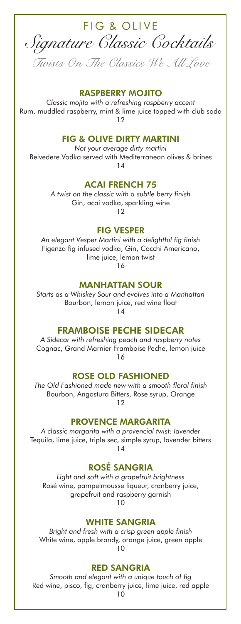

#### **RASPBERRY MOJITO**

*Classic mojito with a refreshing raspberry accent* Rum, muddled raspberry, mint & lime juice topped with club soda 12

#### **FIG & OLIVE DIRTY MARTINI**

*Not your average dirty martini* Belvedere Vodka served with Mediterranean olives & brines 14

#### **ACAI FRENCH 75**

*A twist on the classic with a subtle berry finish* Gin, acai vodka, sparkling wine 12

**FIG VESPER**

*An elegant Vesper Martini with a delightful fig finish* Figenza fig infused vodka, Gin, Cocchi Americano, lime juice, lemon twist 16

**MANHATTAN SOUR**

*Starts as a Whiskey Sour and evolves into a Manhattan* Bourbon, lemon juice, red wine float 14

#### **FRAMBOISE PECHE SIDECAR**

*A Sidecar with refreshing peach and raspberry notes* Cognac, Grand Marnier Framboise Peche, lemon juice 16

#### **ROSE OLD FASHIONED**

*The Old Fashioned made new with a smooth floral finish* Bourbon, Angostura Bitters, Rose syrup, Orange 12

#### **PROVENCE MARGARITA**

*A classic margarita with a provencial twist: lavender* Tequila, lime juice, triple sec, simple syrup, lavender bitters 14

**ROSÉ SANGRIA**

*Light and soft with a grapefruit brightness* Rosé wine, pampelmousse liqueur, cranberry juice, grapefruit and raspberry garnish 10

#### **WHITE SANGRIA**

*Bright and fresh with a crisp green apple finish* White wine, apple brandy, orange juice, green apple 10

#### **RED SANGRIA**

*Smooth and elegant with a unique touch of fig* Red wine, pisco, fig, cranberry juice, lime juice, red apple

10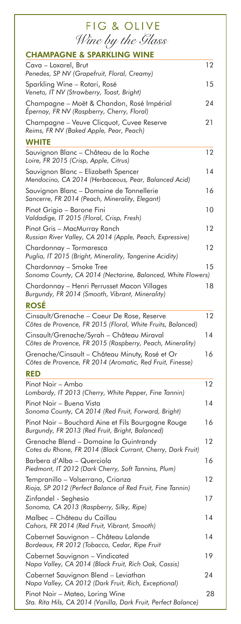| <b>FIG &amp; OLIVE</b>                                                                                      |    |
|-------------------------------------------------------------------------------------------------------------|----|
| Wine by the Glass                                                                                           |    |
| <b>CHAMPAGNE &amp; SPARKLING WINE</b>                                                                       |    |
| Cava – Loxarel, Brut<br>Penedes, SP NV (Grapefruit, Floral, Creamy)                                         | 12 |
| Sparkling Wine - Rotari, Rosé<br>Veneto, IT NV (Strawberry, Toast, Bright)                                  | 15 |
| Champagne - Moët & Chandon, Rosé Impérial<br>Epernay, FR NV (Raspberry, Cherry, Floral)                     | 24 |
| Champagne - Veuve Clicquot, Cuvee Reserve<br>Reims, FR NV (Baked Apple, Pear, Peach)                        | 21 |
| <b>WHITE</b>                                                                                                |    |
| Sauvignon Blanc - Château de la Roche<br>Loire, FR 2015 (Crisp, Apple, Citrus)                              | 12 |
| Sauvignon Blanc - Elizabeth Spencer<br>Mendocino, CA 2014 (Herbaceous, Pear, Balanced Acid)                 | 14 |
| Sauvignon Blanc - Domaine de Tonnellerie<br>Sancerre, FR 2014 (Peach, Minerality, Elegant)                  | 16 |
| Pinot Grigio - Barone Fini<br>Valdadige, IT 2015 (Floral, Crisp, Fresh)                                     | 10 |
| Pinot Gris - MacMurray Ranch<br>Russian River Valley, CA 2014 (Apple, Peach, Expressive)                    | 12 |
| Chardonnay – Tormaresca<br>Puglia, IT 2015 (Bright, Minerality, Tangerine Acidity)                          | 12 |
| Chardonnay – Smoke Tree<br>Sonoma County, CA 2014 (Nectarine, Balanced, White Flowers)                      | 15 |
| Chardonnay – Henri Perrusset Macon Villages<br>Burgundy, FR 2014 (Smooth, Vibrant, Minerality)              | 18 |
| <b>ROSÉ</b>                                                                                                 |    |
| Cinsault/Grenache - Coeur De Rose, Reserve<br>Côtes de Provence, FR 2015 (Floral, White Fruits, Balanced)   | 12 |
| Cinsault/Grenache/Syrah - Château Miraval<br>Côtes de Provence, FR 2015 (Raspberry, Peach, Minerality)      | 14 |
| Grenache/Cinsault - Château Minuty, Rosé et Or<br>Côtes de Provence, FR 2014 (Aromatic, Red Fruit, Finesse) | 16 |
| <b>RED</b>                                                                                                  |    |
| Pinot Noir - Ambo<br>Lombardy, IT 2013 (Cherry, White Pepper, Fine Tannin)                                  | 12 |
| Pinot Noir - Buena Vista<br>Sonoma County, CA 2014 (Red Fruit, Forward, Bright)                             | 14 |
| Pinot Noir - Bouchard Aine et Fils Bourgogne Rouge<br>Burgundy, FR 2013 (Red Fruit, Bright, Balanced)       | 16 |
| Grenache Blend - Domaine la Guintrandy<br>Cotes du Rhone, FR 2014 (Black Currant, Cherry, Dark Fruit)       | 12 |
| Barbera d'Alba - Querciola<br>Piedmont, IT 2012 (Dark Cherry, Soft Tannins, Plum)                           | 16 |
| Tempranillo – Valserrano, Crianza<br>Rioja, SP 2012 (Perfect Balance of Red Fruit, Fine Tannin)             | 12 |
| Zinfandel - Seghesio<br>Sonoma, CA 2013 (Raspberry, Silky, Ripe)                                            | 17 |
| Malbec - Château du Caillau<br>Cahors, FR 2014 (Red Fruit, Vibrant, Smooth)                                 | 14 |
| Cabernet Sauvignon - Château Lalande<br>Bordeaux, FR 2012 (Tobacco, Cedar, Ripe Fruit                       | 14 |
| Cabernet Sauvignon - Vindicated<br>Napa Valley, CA 2014 (Black Fruit, Rich Oak, Cassis)                     | 19 |
| Cabernet Sauvignon Blend - Leviathan<br>Napa Valley, CA 2012 (Dark Fruit, Rich, Exceptional)                | 24 |
| Pinot Noir - Mateo, Loring Wine<br>Sta. Rita Hils, CA 2014 (Vanilla, Dark Fruit, Perfect Balance)           | 28 |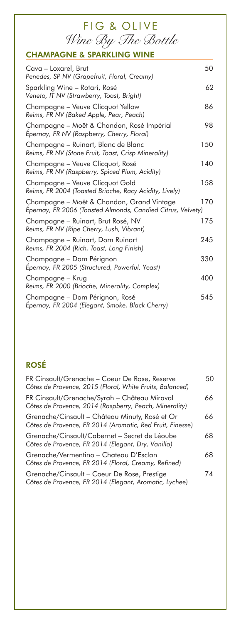| <b>FIG &amp; OLIVE</b>                                                                                   |     |
|----------------------------------------------------------------------------------------------------------|-----|
| Wine By The Bottle                                                                                       |     |
| <b>CHAMPAGNE &amp; SPARKLING WINE</b>                                                                    |     |
| Cava – Loxarel, Brut<br>Penedes, SP NV (Grapefruit, Floral, Creamy)                                      | 50  |
| Sparkling Wine – Rotari, Rosé<br>Veneto, IT NV (Strawberry, Toast, Bright)                               | 62  |
| Champagne – Veuve Clicquot Yellow<br>Reims, FR NV (Baked Apple, Pear, Peach)                             | 86  |
| Champagne – Moët & Chandon, Rosé Impérial<br>Épernay, FR NV (Raspberry, Cherry, Floral)                  | 98  |
| Champagne - Ruinart, Blanc de Blanc<br>Reims, FR NV (Stone Fruit, Toast, Crisp Minerality)               | 150 |
| Champagne – Veuve Clicquot, Rosé<br>Reims, FR NV (Raspberry, Spiced Plum, Acidity)                       | 140 |
| Champagne - Veuve Clicquot Gold<br>Reims, FR 2004 (Toasted Brioche, Racy Acidity, Lively)                | 158 |
| Champagne – Moët & Chandon, Grand Vintage<br>Épernay, FR 2006 (Toasted Almonds, Candied Citrus, Velvety) | 170 |
| Champagne – Ruinart, Brut Rosé, NV<br>Reims, FR NV (Ripe Cherry, Lush, Vibrant)                          | 175 |
| Champagne – Ruinart, Dom Ruinart<br>Reims, FR 2004 (Rich, Toast, Long Finish)                            | 245 |
| Champagne – Dom Pérignon<br>Epernay, FR 2005 (Structured, Powerful, Yeast)                               | 330 |
| Champagne – Krug<br>Reims, FR 2000 (Brioche, Minerality, Complex)                                        | 400 |
| Champagne – Dom Pérignon, Rosé<br>Epernay, FR 2004 (Elegant, Smoke, Black Cherry)                        | 545 |

## **ROSÉ**

| FR Cinsault/Grenache - Coeur De Rose, Reserve<br>Côtes de Provence, 2015 (Floral, White Fruits, Balanced)   | 50 |
|-------------------------------------------------------------------------------------------------------------|----|
| FR Cinsault/Grenache/Syrah - Château Miraval<br>Côtes de Provence, 2014 (Raspberry, Peach, Minerality)      | 66 |
| Grenache/Cinsault – Château Minuty, Rosé et Or<br>Côtes de Provence, FR 2014 (Aromatic, Red Fruit, Finesse) | 66 |
| Grenache/Cinsault/Cabernet - Secret de Léoube<br>Côtes de Provence, FR 2014 (Elegant, Dry, Vanilla)         | 68 |
| Grenache/Vermentino – Chateau D'Esclan<br>Côtes de Provence, FR 2014 (Floral, Creamy, Refined)              | 68 |
| Grenache/Cinsault – Coeur De Rose, Prestige<br>Côtes de Provence, FR 2014 (Elegant, Aromatic, Lychee)       | 74 |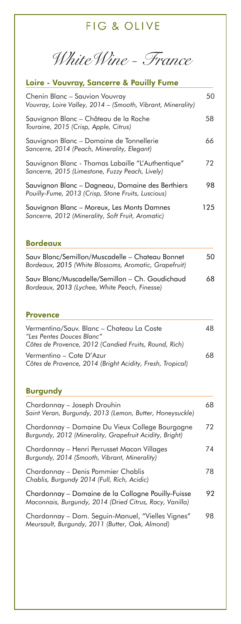*WhiteWine - France*

### **Loire - Vouvray, Sancerre & Pouilly Fume**

| Chenin Blanc - Sauvion Vouvray<br>Vouvray, Loire Valley, 2014 – (Smooth, Vibrant, Minerality)          | 50  |
|--------------------------------------------------------------------------------------------------------|-----|
| Sauvignon Blanc – Château de la Roche<br>Touraine, 2015 (Crisp, Apple, Citrus)                         | 58  |
| Sauvignon Blanc – Domaine de Tonnellerie<br>Sancerre, 2014 (Peach, Minerality, Elegant)                | 66  |
| Sauvignon Blanc - Thomas Labaille "L'Authentique"<br>Sancerre, 2015 (Limestone, Fuzzy Peach, Lively)   | 72  |
| Sauvignon Blanc - Dagneau, Domaine des Berthiers<br>Pouilly-Fume, 2013 (Crisp, Stone Fruits, Luscious) | 98  |
| Sauvignon Blanc – Moreux, Les Monts Damnes<br>Sancerre, 2012 (Minerality, Soft Fruit, Aromatic)        | 125 |

#### **Bordeaux**

| Sauv Blanc/Semillon/Muscadelle – Chateau Bonnet<br>Bordeaux, 2015 (White Blossoms, Aromatic, Grapefruit) | 50 |
|----------------------------------------------------------------------------------------------------------|----|
| Sauv Blanc/Muscadelle/Semillon - Ch. Goudichaud<br>Bordeaux, 2013 (Lychee, White Peach, Finesse)         | 68 |

#### **Provence**

| Vermentino/Sauv. Blanc – Chateau La Coste<br>"Les Pentes Douces Blanc"<br>Côtes de Provence, 2012 (Candied Fruits, Round, Rich) | 48 |
|---------------------------------------------------------------------------------------------------------------------------------|----|
| Vermentino – Cote D'Azur<br>Côtes de Provence, 2014 (Bright Acidity, Fresh, Tropical)                                           | 68 |

#### **Burgundy**

| Chardonnay – Joseph Drouhin<br>Saint Veran, Burgundy, 2013 (Lemon, Butter, Honeysuckle)                       | 68 |
|---------------------------------------------------------------------------------------------------------------|----|
| Chardonnay – Domaine Du Vieux College Bourgogne<br>Burgundy, 2012 (Minerality, Grapefruit Acidity, Bright)    | 72 |
| Chardonnay – Henri Perrusset Macon Villages<br>Burgundy, 2014 (Smooth, Vibrant, Minerality)                   | 74 |
| Chardonnay - Denis Pommier Chablis<br>Chablis, Burgundy 2014 (Full, Rich, Acidic)                             | 78 |
| Chardonnay – Domaine de la Collogne Pouilly-Fuisse<br>Maconnais, Burgundy, 2014 (Dried Citrus, Racy, Vanilla) | 92 |
| Chardonnay – Dom. Seguin-Manuel, "Vielles Vignes"<br>Meursault, Burgundy, 2011 (Butter, Oak, Almond)          | 98 |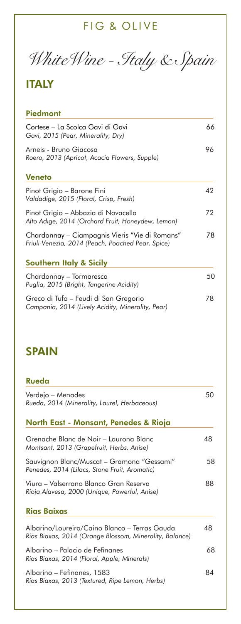*WhiteWine - Italy & Spain*

## **ITALY**

### **Piedmont**

| Cortese – La Scolca Gavi di Gavi<br>Gavi, 2015 (Pear, Minerality, Dry)<br>Arneis - Bruno Giacosa<br>Roero, 2013 (Apricot, Acacia Flowers, Supple) | 66 |  |
|---------------------------------------------------------------------------------------------------------------------------------------------------|----|--|
|                                                                                                                                                   | 96 |  |
| <b>Veneto</b>                                                                                                                                     |    |  |
| Pinot Grigio – Barone Fini<br>Valdadige, 2015 (Floral, Crisp, Fresh)                                                                              | 42 |  |
| Pinot Grigio – Abbazia di Novacella<br>Alto Adige, 2014 (Orchard Fruit, Honeydew, Lemon)                                                          | 72 |  |
| Chardonnay – Ciampagnis Vieris "Vie di Romans"<br>Friuli-Venezia, 2014 (Peach, Poached Pear, Spice)                                               | 78 |  |
| <b>Southern Italy &amp; Sicily</b>                                                                                                                |    |  |
| Chardonnay – Tormaresca<br>Puglia, 2015 (Bright, Tangerine Acidity)                                                                               | 50 |  |
| Greco di Tufo – Feudi di San Gregorio<br>Campania, 2014 (Lively Acidity, Minerality, Pear)                                                        | 78 |  |

## **SPAIN**

| Rueda                                                                                                    |    |
|----------------------------------------------------------------------------------------------------------|----|
| Verdejo – Menades<br>Rueda, 2014 (Minerality, Laurel, Herbaceous)                                        | 50 |
| North East - Monsant, Penedes & Rioja                                                                    |    |
| Grenache Blanc de Noir – Laurona Blanc<br>Montsant, 2013 (Grapefruit, Herbs, Anise)                      | 48 |
| Sauvignon Blanc/Muscat - Gramona "Gessami"<br>Penedes, 2014 (Lilacs, Stone Fruit, Aromatic)              | 58 |
| Viura – Valserrano Blanco Gran Reserva<br>Rioja Alavesa, 2000 (Unique, Powerful, Anise)                  | 88 |
| <b>Rias Baixas</b>                                                                                       |    |
| Albarino/Loureiro/Caino Blanco – Terras Gauda<br>Rias Biaxas, 2014 (Orange Blossom, Minerality, Balance) | 48 |
| Albarino – Palacio de Fefinanes<br>Rias Biaxas, 2014 (Floral, Apple, Minerals)                           | 68 |
| Albarino – Fefinanes, 1583<br>Rias Biaxas, 2013 (Textured, Ripe Lemon, Herbs)                            | 84 |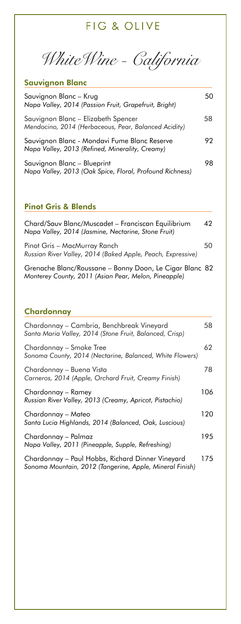*WhiteWine - California*

### **Sauvignon Blanc**

| Sauvignon Blanc – Krug<br>Napa Valley, 2014 (Passion Fruit, Grapefruit, Bright)                 | 50. |
|-------------------------------------------------------------------------------------------------|-----|
| Sauvignon Blanc - Elizabeth Spencer<br>Mendocino, 2014 (Herbaceous, Pear, Balanced Acidity)     | 58  |
| Sauvignon Blanc - Mondavi Fume Blanc Reserve<br>Napa Valley, 2013 (Refined, Minerality, Creamy) | 92  |
| Sauvignon Blanc - Blueprint<br>Napa Valley, 2013 (Oak Spice, Floral, Profound Richness)         | 98  |

#### **Pinot Gris & Blends**

| Chard/Sauv Blanc/Muscadet - Franciscan Equilibrium<br>Napa Valley, 2014 (Jasmine, Nectarine, Stone Fruit)       | 42 |
|-----------------------------------------------------------------------------------------------------------------|----|
| Pinot Gris – MacMurray Ranch<br>Russian River Valley, 2014 (Baked Apple, Peach, Expressive)                     | 50 |
| Grenache Blanc/Roussane – Bonny Doon, Le Cigar Blanc 82<br>Monterey County, 2011 (Asian Pear, Melon, Pineapple) |    |

### **Chardonnay**

| Chardonnay – Cambria, Benchbreak Vineyard<br>Santa Maria Valley, 2014 (Stone Fruit, Balanced, Crisp)         | 58  |
|--------------------------------------------------------------------------------------------------------------|-----|
| Chardonnay – Smoke Tree<br>Sonoma County, 2014 (Nectarine, Balanced, White Flowers)                          | 62  |
| Chardonnay – Buena Vista<br>Carneros, 2014 (Apple, Orchard Fruit, Creamy Finish)                             | 78  |
| Chardonnay – Ramey<br>Russian River Valley, 2013 (Creamy, Apricot, Pistachio)                                | 106 |
| Chardonnay – Mateo<br>Santa Lucia Highlands, 2014 (Balanced, Oak, Luscious)                                  | 120 |
| Chardonnay – Palmaz<br>Napa Valley, 2011 (Pineapple, Supple, Refreshing)                                     | 195 |
| Chardonnay - Paul Hobbs, Richard Dinner Vineyard<br>Sonoma Mountain, 2012 (Tangerine, Apple, Mineral Finish) | 175 |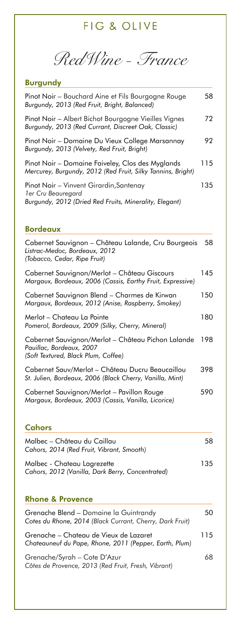*RedWine - France*

## **Burgundy**

| Pinot Noir - Bouchard Aine et Fils Bourgogne Rouge<br>Burgundy, 2013 (Red Fruit, Bright, Balanced)                             | 58  |
|--------------------------------------------------------------------------------------------------------------------------------|-----|
| Pinot Noir - Albert Bichot Bourgogne Vieilles Vignes<br>Burgundy, 2013 (Red Currant, Discreet Oak, Classic)                    | 72  |
| Pinot Noir - Domaine Du Vieux College Marsannay<br>Burgundy, 2013 (Velvety, Red Fruit, Bright)                                 | 92  |
| Pinot Noir - Domaine Faiveley, Clos des Myglands<br>Mercurey, Burgundy, 2012 (Red Fruit, Silky Tannins, Bright)                | 115 |
| Pinot Noir - Vinvent Girardin, Santenay<br><b>ler Cru Beauregard</b><br>Burgundy, 2012 (Dried Red Fruits, Minerality, Elegant) | 135 |
| <b>Bordeaux</b>                                                                                                                |     |
| Cabernet Sauvignon - Château Lalande, Cru Bourgeois<br>Listrac-Medoc, Bordeaux, 2012<br>(Tobacco, Cedar, Ripe Fruit)           | 58  |
| Cabernet Sauvignon/Merlot - Château Giscours<br>Margaux, Bordeaux, 2006 (Cassis, Earthy Fruit, Expressive)                     | 145 |
| Cabernet Sauvignon Blend - Charmes de Kirwan<br>Margaux, Bordeaux, 2012 (Anise, Raspberry, Smokey)                             | 150 |
| Merlot – Chateau La Pointe<br>Pomerol, Bordeaux, 2009 (Silky, Cherry, Mineral)                                                 | 180 |
| Cabernet Sauvignon/Merlot - Château Pichon Lalande<br>Pauillac, Bordeaux, 2007<br>(Soft Textured, Black Plum, Coffee)          | 198 |
| Cabernet Sauv/Merlot - Château Ducru Beaucaillou<br>St. Julien, Bordeaux, 2006 (Black Cherry, Vanilla, Mint)                   | 398 |
| Cabernet Sauvignon/Merlot - Pavillon Rouge                                                                                     |     |
| Margaux, Bordeaux, 2003 (Cassis, Vanilla, Licorice)                                                                            | 590 |

### **Cahors**

| Malbec – Château du Caillau<br>Cahors, 2014 (Red Fruit, Vibrant, Smooth)        | 58  |
|---------------------------------------------------------------------------------|-----|
| Malbec - Chateau Lagrezette<br>Cahors, 2012 (Vanilla, Dark Berry, Concentrated) | 135 |

### **Rhone & Provence**

| Grenache Blend – Domaine la Guintrandy<br>Cotes du Rhone, 2014 (Black Currant, Cherry, Dark Fruit) | 50  |
|----------------------------------------------------------------------------------------------------|-----|
| Grenache – Chateau de Vieux de Lazaret<br>Chateauneuf du Pape, Rhone, 2011 (Pepper, Earth, Plum)   | 115 |
| Grenache/Syrah - Cote D'Azur<br>Côtes de Provence, 2013 (Red Fruit, Fresh, Vibrant)                | 68  |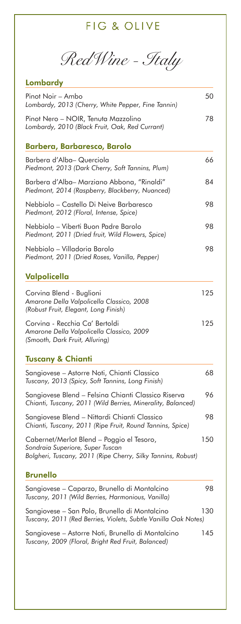*RedWine - Italy*

| Lombardy                                                                                                                                      |     |
|-----------------------------------------------------------------------------------------------------------------------------------------------|-----|
| Pinot Noir - Ambo<br>Lombardy, 2013 (Cherry, White Pepper, Fine Tannin)                                                                       | 50  |
| Pinot Nero - NOIR, Tenuta Mazzolino<br>Lombardy, 2010 (Black Fruit, Oak, Red Currant)                                                         | 78  |
| <b>Barbera, Barbaresco, Barolo</b>                                                                                                            |     |
| Barbera d'Alba- Querciola<br>Piedmont, 2013 (Dark Cherry, Soft Tannins, Plum)                                                                 | 66  |
| Barbera d'Alba– Marziano Abbona, "Rinaldi"<br>Piedmont, 2014 (Raspberry, Blackberry, Nuanced)                                                 | 84  |
| Nebbiolo – Castello Di Neive Barbaresco<br>Piedmont, 2012 (Floral, Intense, Spice)                                                            | 98  |
| Nebbiolo – Viberti Buon Padre Barolo<br>Piedmont, 2011 (Dried fruit, Wild Flowers, Spice)                                                     | 98  |
| Nebbiolo – Villadoria Barolo<br>Piedmont, 2011 (Dried Roses, Vanilla, Pepper)                                                                 | 98  |
| Valpolicella                                                                                                                                  |     |
| Corvina Blend - Buglioni<br>Amarone Della Valpolicella Classico, 2008<br>(Robust Fruit, Elegant, Long Finish)                                 | 125 |
| Corvina - Recchia Ca' Bertoldi<br>Amarone Della Valpolicella Classico, 2009<br>(Smooth, Dark Fruit, Alluring)                                 | 125 |
| <b>Tuscany &amp; Chianti</b>                                                                                                                  |     |
| Sangiovese – Astorre Noti, Chianti Classico<br>Tuscany, 2013 (Spicy, Soft Tannins, Long Finish)                                               | 68  |
| Sangiovese Blend - Felsina Chianti Classico Riserva<br>Chianti, Tuscany, 2011 (Wild Berries, Minerality, Balanced)                            | 96  |
| Sangiovese Blend - Nittardi Chianti Classico<br>Chianti, Tuscany, 2011 (Ripe Fruit, Round Tannins, Spice)                                     | 98  |
| Cabernet/Merlot Blend - Poggio el Tesoro,<br>Sondraia Superiore, Super Tuscan<br>Bolgheri, Tuscany, 2011 (Ripe Cherry, Silky Tannins, Robust) | 150 |
| <b>Brunello</b>                                                                                                                               |     |
| Sangiovese - Caparzo, Brunello di Montalcino<br>Tuscany, 2011 (Wild Berries, Harmonious, Vanilla)                                             | 98  |
| Sangiovese – San Polo, Brunello di Montalcino<br>Tuscany, 2011 (Red Berries, Violets, Subtle Vanilla Oak Notes)                               | 130 |
| Sangiovese – Astorre Noti, Brunello di Montalcino<br>Tuscany, 2009 (Floral, Bright Red Fruit, Balanced)                                       | 145 |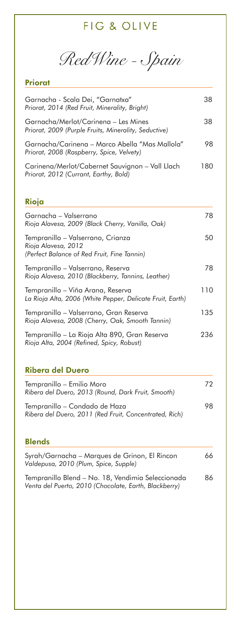*RedWine - Spain*

## **Priorat**

| Garnacha - Scala Dei, "Garnatxa"<br>Priorat, 2014 (Red Fruit, Minerality, Bright)                       | 38  |
|---------------------------------------------------------------------------------------------------------|-----|
| Garnacha/Merlot/Carinena - Les Mines<br>Priorat, 2009 (Purple Fruits, Minerality, Seductive)            | 38  |
| Garnacha/Carinena – Marco Abella "Mas Mallola"<br>Priorat, 2008 (Raspberry, Spice, Velvety)             | 98  |
| Carinena/Merlot/Cabernet Sauvignon - Vall Llach<br>Priorat, 2012 (Currant, Earthy, Bold)                | 180 |
| Rioja                                                                                                   |     |
| Garnacha – Valserrano<br>Rioja Alavesa, 2009 (Black Cherry, Vanilla, Oak)                               | 78  |
| Tempranillo – Valserrano, Crianza<br>Rioja Alavesa, 2012<br>(Perfect Balance of Red Fruit, Fine Tannin) | 50  |
| Tempranillo – Valserrano, Reserva<br>Rioja Alavesa, 2010 (Blackberry, Tannins, Leather)                 | 78  |
| Tempranillo – Viña Arana, Reserva<br>La Rioja Alta, 2006 (White Pepper, Delicate Fruit, Earth)          | 110 |
| Tempranillo – Valserrano, Gran Reserva<br>Rioja Alavesa, 2008 (Cherry, Oak, Smooth Tannin)              | 135 |
| Tempranillo — La Rioja Alta 890, Gran Reserva<br>Rioja Alta, 2004 (Refined, Spicy, Robust)              | 236 |
|                                                                                                         |     |

## **Ribera del Duero**

| Tempranillo – Emilio Moro<br>Ribera del Duero, 2013 (Round, Dark Fruit, Smooth)         | 72 |
|-----------------------------------------------------------------------------------------|----|
| Tempranillo – Condado de Haza<br>Ribera del Duero, 2011 (Red Fruit, Concentrated, Rich) | 98 |

#### **Blends**

| Syrah/Garnacha – Marques de Grinon, El Rincon<br>Valdepusa, 2010 (Plum, Spice, Supple)                     | 66 |
|------------------------------------------------------------------------------------------------------------|----|
| Tempranillo Blend - No. 18, Vendimia Seleccionada<br>Venta del Puerto, 2010 (Chocolate, Earth, Blackberry) | 86 |